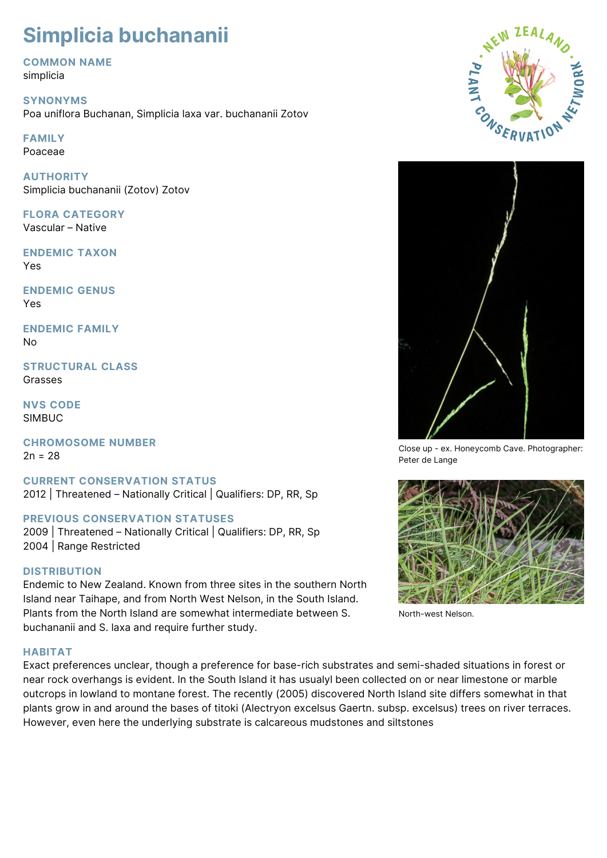# **Simplicia buchananii**

**COMMON NAME** simplicia

**SYNONYMS** Poa uniflora Buchanan, Simplicia laxa var. buchananii Zotov

**FAMILY** Poaceae

**AUTHORITY** Simplicia buchananii (Zotov) Zotov

**FLORA CATEGORY** Vascular – Native

**ENDEMIC TAXON** Yes

**ENDEMIC GENUS** Yes

**ENDEMIC FAMILY** No

**STRUCTURAL CLASS** Grasses

**NVS CODE** SIMBUC

**CHROMOSOME NUMBER**  $2n = 28$ 

**CURRENT CONSERVATION STATUS** 2012 | Threatened – Nationally Critical | Qualifiers: DP, RR, Sp

# **PREVIOUS CONSERVATION STATUSES**

2009 | Threatened – Nationally Critical | Qualifiers: DP, RR, Sp 2004 | Range Restricted

# **DISTRIBUTION**

Endemic to New Zealand. Known from three sites in the southern North Island near Taihape, and from North West Nelson, in the South Island. Plants from the North Island are somewhat intermediate between S. buchananii and S. laxa and require further study.

# **HABITAT**

Exact preferences unclear, though a preference for base-rich substrates and semi-shaded situations in forest or near rock overhangs is evident. In the South Island it has usualyl been collected on or near limestone or marble outcrops in lowland to montane forest. The recently (2005) discovered North Island site differs somewhat in that plants grow in and around the bases of titoki (Alectryon excelsus Gaertn. subsp. excelsus) trees on river terraces. However, even here the underlying substrate is calcareous mudstones and siltstones





Close up - ex. Honeycomb Cave. Photographer: Peter de Lange



North-west Nelson.